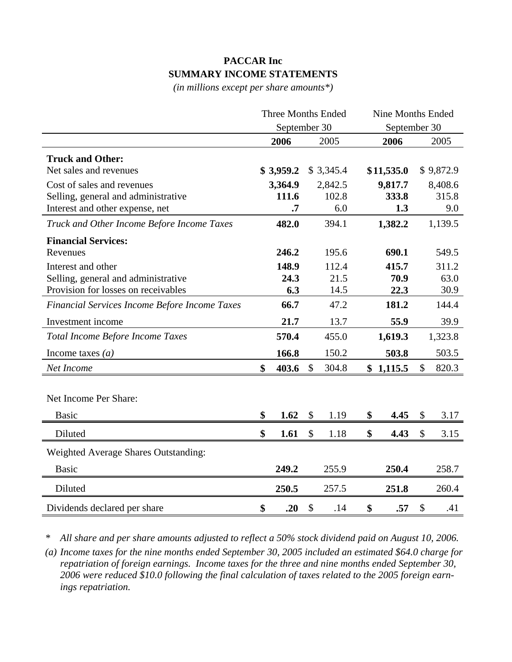## **PACCAR Inc SUMMARY INCOME STATEMENTS**

*(in millions except per share amounts\*)*

|                                               | <b>Three Months Ended</b><br>September 30 |           |               | <b>Nine Months Ended</b> |    |            |    |           |
|-----------------------------------------------|-------------------------------------------|-----------|---------------|--------------------------|----|------------|----|-----------|
|                                               |                                           |           |               | September 30             |    |            |    |           |
|                                               |                                           | 2006      |               | 2005                     |    | 2006       |    | 2005      |
| <b>Truck and Other:</b>                       |                                           |           |               |                          |    |            |    |           |
| Net sales and revenues                        |                                           | \$3,959.2 |               | \$3,345.4                |    | \$11,535.0 |    | \$9,872.9 |
| Cost of sales and revenues                    |                                           | 3,364.9   |               | 2,842.5                  |    | 9,817.7    |    | 8,408.6   |
| Selling, general and administrative           |                                           | 111.6     |               | 102.8                    |    | 333.8      |    | 315.8     |
| Interest and other expense, net               |                                           | $\cdot$ 7 |               | 6.0                      |    | 1.3        |    | 9.0       |
| Truck and Other Income Before Income Taxes    |                                           | 482.0     |               | 394.1                    |    | 1,382.2    |    | 1,139.5   |
| <b>Financial Services:</b>                    |                                           |           |               |                          |    |            |    |           |
| Revenues                                      |                                           | 246.2     |               | 195.6                    |    | 690.1      |    | 549.5     |
| Interest and other                            |                                           | 148.9     |               | 112.4                    |    | 415.7      |    | 311.2     |
| Selling, general and administrative           |                                           | 24.3      |               | 21.5                     |    | 70.9       |    | 63.0      |
| Provision for losses on receivables           |                                           | 6.3       |               | 14.5                     |    | 22.3       |    | 30.9      |
| Financial Services Income Before Income Taxes |                                           | 66.7      |               | 47.2                     |    | 181.2      |    | 144.4     |
| Investment income                             |                                           | 21.7      |               | 13.7                     |    | 55.9       |    | 39.9      |
| Total Income Before Income Taxes              |                                           | 570.4     |               | 455.0                    |    | 1,619.3    |    | 1,323.8   |
| Income taxes $(a)$                            |                                           | 166.8     |               | 150.2                    |    | 503.8      |    | 503.5     |
| Net Income                                    | $\mathbf{\$}$                             | 403.6     | $\mathcal{S}$ | 304.8                    |    | \$1,115.5  | \$ | 820.3     |
|                                               |                                           |           |               |                          |    |            |    |           |
| Net Income Per Share:                         |                                           |           |               |                          |    |            |    |           |
| <b>Basic</b>                                  | \$                                        | 1.62      | $\mathcal{S}$ | 1.19                     | \$ | 4.45       | \$ | 3.17      |
| Diluted                                       | \$                                        | 1.61      | $\mathcal{S}$ | 1.18                     | \$ | 4.43       | \$ | 3.15      |
| <b>Weighted Average Shares Outstanding:</b>   |                                           |           |               |                          |    |            |    |           |
| <b>Basic</b>                                  |                                           | 249.2     |               | 255.9                    |    | 250.4      |    | 258.7     |
| Diluted                                       |                                           | 250.5     |               | 257.5                    |    | 251.8      |    | 260.4     |
| Dividends declared per share                  | \$                                        | .20       | $\mathcal{S}$ | .14                      | \$ | .57        | \$ | .41       |

*\* All share and per share amounts adjusted to reflect a 50% stock dividend paid on August 10, 2006.* 

*(a) Income taxes for the nine months ended September 30, 2005 included an estimated \$64.0 charge for repatriation of foreign earnings. Income taxes for the three and nine months ended September 30, 2006 were reduced \$10.0 following the final calculation of taxes related to the 2005 foreign earnings repatriation.*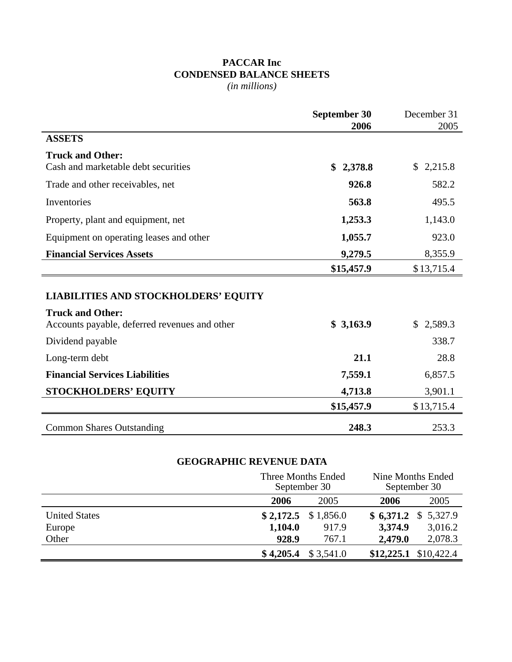## **PACCAR Inc CONDENSED BALANCE SHEETS** *(in millions)*

|                                                                                                                         | <b>September 30</b> | December 31 |
|-------------------------------------------------------------------------------------------------------------------------|---------------------|-------------|
|                                                                                                                         | 2006                | 2005        |
| <b>ASSETS</b>                                                                                                           |                     |             |
| <b>Truck and Other:</b>                                                                                                 |                     |             |
| Cash and marketable debt securities                                                                                     | \$2,378.8           | \$2,215.8   |
| Trade and other receivables, net                                                                                        | 926.8               | 582.2       |
| Inventories                                                                                                             | 563.8               | 495.5       |
| Property, plant and equipment, net                                                                                      | 1,253.3             | 1,143.0     |
| Equipment on operating leases and other                                                                                 | 1,055.7             | 923.0       |
| <b>Financial Services Assets</b>                                                                                        | 9,279.5             | 8,355.9     |
|                                                                                                                         | \$15,457.9          | \$13,715.4  |
| <b>LIABILITIES AND STOCKHOLDERS' EQUITY</b><br><b>Truck and Other:</b><br>Accounts payable, deferred revenues and other | \$3,163.9           | \$2,589.3   |
| Dividend payable                                                                                                        |                     | 338.7       |
| Long-term debt                                                                                                          | 21.1                | 28.8        |
| <b>Financial Services Liabilities</b>                                                                                   | 7,559.1             | 6,857.5     |
| <b>STOCKHOLDERS' EQUITY</b>                                                                                             | 4,713.8             | 3,901.1     |
|                                                                                                                         | \$15,457.9          | \$13,715.4  |
| <b>Common Shares Outstanding</b>                                                                                        | 248.3               | 253.3       |

## **GEOGRAPHIC REVENUE DATA**

|                      |         | Three Months Ended<br>September 30 |         | Nine Months Ended<br>September 30 |  |  |
|----------------------|---------|------------------------------------|---------|-----------------------------------|--|--|
|                      | 2006    | 2005                               | 2006    | 2005                              |  |  |
| <b>United States</b> |         | $$2,172.5$ $$1,856.0$              |         | $$6,371.2 \$5,327.9$              |  |  |
| Europe               | 1,104.0 | 917.9                              | 3,374.9 | 3,016.2                           |  |  |
| Other                | 928.9   | 767.1                              | 2,479.0 | 2,078.3                           |  |  |
|                      |         | $$4,205.4 \$3,541.0$               |         | $$12,225.1$ $$10,422.4$           |  |  |